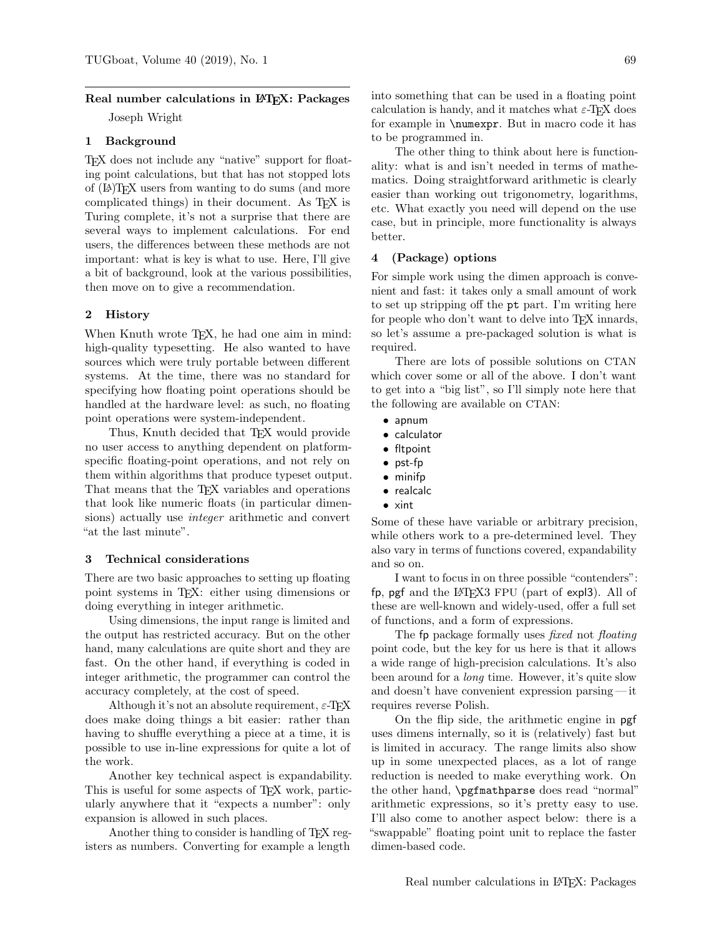# Real number calculations in L<sup>AT</sup>EX: Packages Joseph Wright

#### 1 Background

TEX does not include any "native" support for floating point calculations, but that has not stopped lots of (LA)TEX users from wanting to do sums (and more complicated things) in their document. As TEX is Turing complete, it's not a surprise that there are several ways to implement calculations. For end users, the differences between these methods are not important: what is key is what to use. Here, I'll give a bit of background, look at the various possibilities, then move on to give a recommendation.

#### 2 History

When Knuth wrote T<sub>E</sub>X, he had one aim in mind: high-quality typesetting. He also wanted to have sources which were truly portable between different systems. At the time, there was no standard for specifying how floating point operations should be handled at the hardware level: as such, no floating point operations were system-independent.

Thus, Knuth decided that T<sub>EX</sub> would provide no user access to anything dependent on platformspecific floating-point operations, and not rely on them within algorithms that produce typeset output. That means that the T<sub>EX</sub> variables and operations that look like numeric floats (in particular dimensions) actually use integer arithmetic and convert "at the last minute".

### 3 Technical considerations

There are two basic approaches to setting up floating point systems in TEX: either using dimensions or doing everything in integer arithmetic.

Using dimensions, the input range is limited and the output has restricted accuracy. But on the other hand, many calculations are quite short and they are fast. On the other hand, if everything is coded in integer arithmetic, the programmer can control the accuracy completely, at the cost of speed.

Although it's not an absolute requirement,  $\varepsilon$ -T<sub>F</sub>X does make doing things a bit easier: rather than having to shuffle everything a piece at a time, it is possible to use in-line expressions for quite a lot of the work.

Another key technical aspect is expandability. This is useful for some aspects of TEX work, particularly anywhere that it "expects a number": only expansion is allowed in such places.

Another thing to consider is handling of T<sub>E</sub>X registers as numbers. Converting for example a length

into something that can be used in a floating point calculation is handy, and it matches what  $\varepsilon$ -TEX does for example in \numexpr. But in macro code it has

The other thing to think about here is functionality: what is and isn't needed in terms of mathematics. Doing straightforward arithmetic is clearly easier than working out trigonometry, logarithms, etc. What exactly you need will depend on the use case, but in principle, more functionality is always better.

#### 4 (Package) options

to be programmed in.

For simple work using the dimen approach is convenient and fast: it takes only a small amount of work to set up stripping off the pt part. I'm writing here for people who don't want to delve into T<sub>F</sub>X innards, so let's assume a pre-packaged solution is what is required.

There are lots of possible solutions on CTAN which cover some or all of the above. I don't want to get into a "big list", so I'll simply note here that the following are available on CTAN:

- apnum
- calculator
- fltpoint
- pst-fp
- minifp
- realcalc
- xint

Some of these have variable or arbitrary precision, while others work to a pre-determined level. They also vary in terms of functions covered, expandability and so on.

I want to focus in on three possible "contenders": fp, pgf and the LAT<sub>F</sub>X3 FPU (part of expl3). All of these are well-known and widely-used, offer a full set of functions, and a form of expressions.

The fp package formally uses *fixed* not *floating* point code, but the key for us here is that it allows a wide range of high-precision calculations. It's also been around for a long time. However, it's quite slow and doesn't have convenient expression parsing — it requires reverse Polish.

On the flip side, the arithmetic engine in pgf uses dimens internally, so it is (relatively) fast but is limited in accuracy. The range limits also show up in some unexpected places, as a lot of range reduction is needed to make everything work. On the other hand, \pgfmathparse does read "normal" arithmetic expressions, so it's pretty easy to use. I'll also come to another aspect below: there is a "swappable" floating point unit to replace the faster dimen-based code.